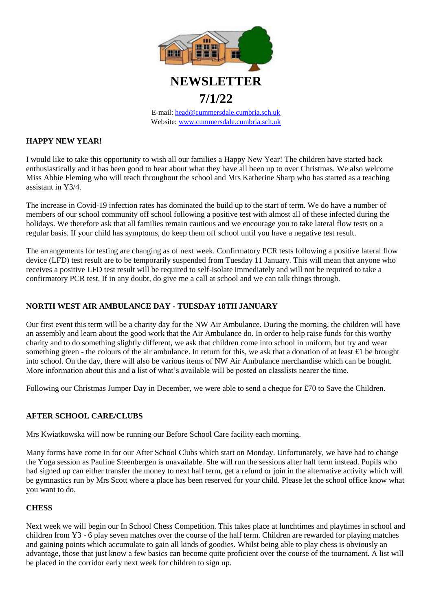

E-mail: [head@cummersdale.cumbria.sch.uk](mailto:head@cummersdale.cumbria.sch.uk) Website: [www.cummersdale.cumbria.sch.uk](http://www.cummersdale.cumbria.sch.uk/)

#### **HAPPY NEW YEAR!**

I would like to take this opportunity to wish all our families a Happy New Year! The children have started back enthusiastically and it has been good to hear about what they have all been up to over Christmas. We also welcome Miss Abbie Fleming who will teach throughout the school and Mrs Katherine Sharp who has started as a teaching assistant in Y3/4.

The increase in Covid-19 infection rates has dominated the build up to the start of term. We do have a number of members of our school community off school following a positive test with almost all of these infected during the holidays. We therefore ask that all families remain cautious and we encourage you to take lateral flow tests on a regular basis. If your child has symptoms, do keep them off school until you have a negative test result.

The arrangements for testing are changing as of next week. Confirmatory PCR tests following a positive lateral flow device (LFD) test result are to be temporarily suspended from Tuesday 11 January. This will mean that anyone who receives a positive LFD test result will be required to self-isolate immediately and will not be required to take a confirmatory PCR test. If in any doubt, do give me a call at school and we can talk things through.

# **NORTH WEST AIR AMBULANCE DAY - TUESDAY 18TH JANUARY**

Our first event this term will be a charity day for the NW Air Ambulance. During the morning, the children will have an assembly and learn about the good work that the Air Ambulance do. In order to help raise funds for this worthy charity and to do something slightly different, we ask that children come into school in uniform, but try and wear something green - the colours of the air ambulance. In return for this, we ask that a donation of at least £1 be brought into school. On the day, there will also be various items of NW Air Ambulance merchandise which can be bought. More information about this and a list of what's available will be posted on classlists nearer the time.

Following our Christmas Jumper Day in December, we were able to send a cheque for £70 to Save the Children.

# **AFTER SCHOOL CARE/CLUBS**

Mrs Kwiatkowska will now be running our Before School Care facility each morning.

Many forms have come in for our After School Clubs which start on Monday. Unfortunately, we have had to change the Yoga session as Pauline Steenbergen is unavailable. She will run the sessions after half term instead. Pupils who had signed up can either transfer the money to next half term, get a refund or join in the alternative activity which will be gymnastics run by Mrs Scott where a place has been reserved for your child. Please let the school office know what you want to do.

# **CHESS**

Next week we will begin our In School Chess Competition. This takes place at lunchtimes and playtimes in school and children from Y3 - 6 play seven matches over the course of the half term. Children are rewarded for playing matches and gaining points which accumulate to gain all kinds of goodies. Whilst being able to play chess is obviously an advantage, those that just know a few basics can become quite proficient over the course of the tournament. A list will be placed in the corridor early next week for children to sign up.